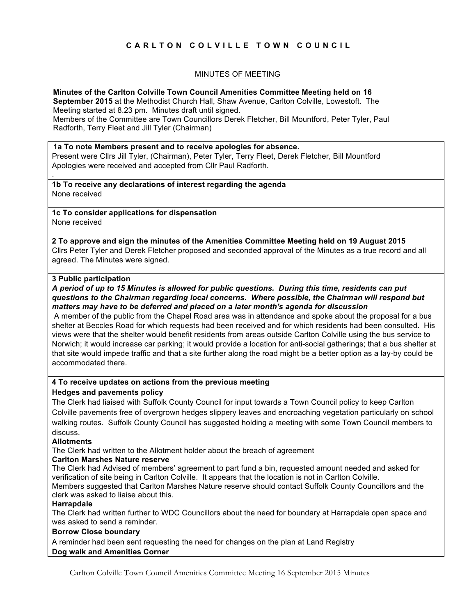# **CARLTON COLVILLE TOWN COUNCIL**

## MINUTES OF MEETING

**Minutes of the Carlton Colville Town Council Amenities Committee Meeting held on 16 September 2015** at the Methodist Church Hall, Shaw Avenue, Carlton Colville, Lowestoft. The Meeting started at 8.23 pm. Minutes draft until signed. Members of the Committee are Town Councillors Derek Fletcher, Bill Mountford, Peter Tyler, Paul Radforth, Terry Fleet and Jill Tyler (Chairman)

#### **1a To note Members present and to receive apologies for absence.**

Present were Cllrs Jill Tyler, (Chairman), Peter Tyler, Terry Fleet, Derek Fletcher, Bill Mountford Apologies were received and accepted from Cllr Paul Radforth.

**1b To receive any declarations of interest regarding the agenda** None received

**1c To consider applications for dispensation** None received

**2 To approve and sign the minutes of the Amenities Committee Meeting held on 19 August 2015** Cllrs Peter Tyler and Derek Fletcher proposed and seconded approval of the Minutes as a true record and all agreed. The Minutes were signed.

#### **3 Public participation**

.

### *A period of up to 15 Minutes is allowed for public questions. During this time, residents can put questions to the Chairman regarding local concerns. Where possible, the Chairman will respond but matters may have to be deferred and placed on a later month's agenda for discussion*

A member of the public from the Chapel Road area was in attendance and spoke about the proposal for a bus shelter at Beccles Road for which requests had been received and for which residents had been consulted. His views were that the shelter would benefit residents from areas outside Carlton Colville using the bus service to Norwich; it would increase car parking; it would provide a location for anti-social gatherings; that a bus shelter at that site would impede traffic and that a site further along the road might be a better option as a lay-by could be accommodated there.

### **4 To receive updates on actions from the previous meeting Hedges and pavements policy**

The Clerk had liaised with Suffolk County Council for input towards a Town Council policy to keep Carlton Colville pavements free of overgrown hedges slippery leaves and encroaching vegetation particularly on school walking routes. Suffolk County Council has suggested holding a meeting with some Town Council members to discuss.

### **Allotments**

The Clerk had written to the Allotment holder about the breach of agreement

### **Carlton Marshes Nature reserve**

The Clerk had Advised of members' agreement to part fund a bin, requested amount needed and asked for verification of site being in Carlton Colville. It appears that the location is not in Carlton Colville. Members suggested that Carlton Marshes Nature reserve should contact Suffolk County Councillors and the clerk was asked to liaise about this.

### **Harrapdale**

The Clerk had written further to WDC Councillors about the need for boundary at Harrapdale open space and was asked to send a reminder.

### **Borrow Close boundary**

A reminder had been sent requesting the need for changes on the plan at Land Registry **Dog walk and Amenities Corner** 

Carlton Colville Town Council Amenities Committee Meeting 16 September 2015 Minutes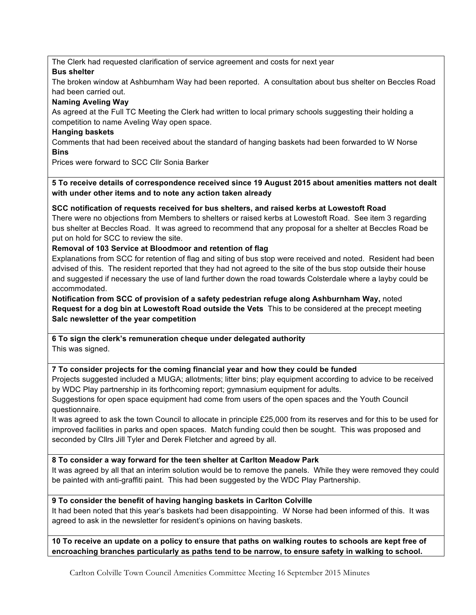The Clerk had requested clarification of service agreement and costs for next year

# **Bus shelter**

The broken window at Ashburnham Way had been reported. A consultation about bus shelter on Beccles Road had been carried out.

# **Naming Aveling Way**

As agreed at the Full TC Meeting the Clerk had written to local primary schools suggesting their holding a competition to name Aveling Way open space.

# **Hanging baskets**

Comments that had been received about the standard of hanging baskets had been forwarded to W Norse **Bins**

Prices were forward to SCC Cllr Sonia Barker

**5 To receive details of correspondence received since 19 August 2015 about amenities matters not dealt with under other items and to note any action taken already**

# **SCC notification of requests received for bus shelters, and raised kerbs at Lowestoft Road**

There were no objections from Members to shelters or raised kerbs at Lowestoft Road. See item 3 regarding bus shelter at Beccles Road. It was agreed to recommend that any proposal for a shelter at Beccles Road be put on hold for SCC to review the site.

# **Removal of 103 Service at Bloodmoor and retention of flag**

Explanations from SCC for retention of flag and siting of bus stop were received and noted. Resident had been advised of this. The resident reported that they had not agreed to the site of the bus stop outside their house and suggested if necessary the use of land further down the road towards Colsterdale where a layby could be accommodated.

## **Notification from SCC of provision of a safety pedestrian refuge along Ashburnham Way,** noted **Request for a dog bin at Lowestoft Road outside the Vets** This to be considered at the precept meeting **Salc newsletter of the year competition**

**6 To sign the clerk's remuneration cheque under delegated authority** This was signed.

# **7 To consider projects for the coming financial year and how they could be funded**

Projects suggested included a MUGA; allotments; litter bins; play equipment according to advice to be received by WDC Play partnership in its forthcoming report; gymnasium equipment for adults.

Suggestions for open space equipment had come from users of the open spaces and the Youth Council questionnaire.

It was agreed to ask the town Council to allocate in principle £25,000 from its reserves and for this to be used for improved facilities in parks and open spaces. Match funding could then be sought. This was proposed and seconded by Cllrs Jill Tyler and Derek Fletcher and agreed by all.

# **8 To consider a way forward for the teen shelter at Carlton Meadow Park**

It was agreed by all that an interim solution would be to remove the panels. While they were removed they could be painted with anti-graffiti paint. This had been suggested by the WDC Play Partnership.

# **9 To consider the benefit of having hanging baskets in Carlton Colville**

It had been noted that this year's baskets had been disappointing. W Norse had been informed of this. It was agreed to ask in the newsletter for resident's opinions on having baskets.

**10 To receive an update on a policy to ensure that paths on walking routes to schools are kept free of encroaching branches particularly as paths tend to be narrow, to ensure safety in walking to school.**